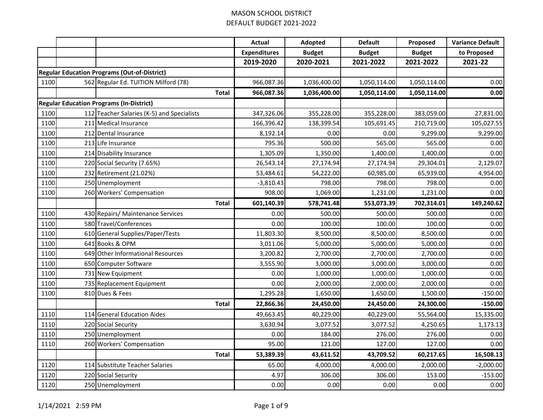|      |                                                     | <b>Actual</b>       | Adopted       | <b>Default</b> | Proposed      | <b>Variance Default</b> |
|------|-----------------------------------------------------|---------------------|---------------|----------------|---------------|-------------------------|
|      |                                                     | <b>Expenditures</b> | <b>Budget</b> | <b>Budget</b>  | <b>Budget</b> | to Proposed             |
|      |                                                     | 2019-2020           | 2020-2021     | 2021-2022      | 2021-2022     | 2021-22                 |
|      | <b>Regular Education Programs (Out-of-District)</b> |                     |               |                |               |                         |
| 1100 | 562 Regular Ed. TUITION Milford (78)                | 966,087.36          | 1,036,400.00  | 1,050,114.00   | 1,050,114.00  | 0.00                    |
|      | <b>Total</b>                                        | 966,087.36          | 1,036,400.00  | 1,050,114.00   | 1,050,114.00  | 0.00                    |
|      | <b>Regular Education Programs (In-District)</b>     |                     |               |                |               |                         |
| 1100 | 112 Teacher Salaries (K-5) and Specialists          | 347,326.06          | 355,228.00    | 355,228.00     | 383,059.00    | 27,831.00               |
| 1100 | 211 Medical Insurance                               | 166,396.42          | 138,399.54    | 105,691.45     | 210,719.00    | 105,027.55              |
| 1100 | 212 Dental Insurance                                | 8,192.14            | 0.00          | 0.00           | 9,299.00      | 9,299.00                |
| 1100 | 213 Life Insurance                                  | 795.36              | 500.00        | 565.00         | 565.00        | 0.00                    |
| 1100 | 214 Disability Insurance                            | 1,305.09            | 1,350.00      | 1,400.00       | 1,400.00      | 0.00                    |
| 1100 | 220 Social Security (7.65%)                         | 26,543.14           | 27,174.94     | 27,174.94      | 29,304.01     | 2,129.07                |
| 1100 | 232 Retirement (21.02%)                             | 53,484.61           | 54,222.00     | 60,985.00      | 65,939.00     | 4,954.00                |
| 1100 | 250 Unemployment                                    | $-3,810.43$         | 798.00        | 798.00         | 798.00        | 0.00                    |
| 1100 | 260 Workers' Compensation                           | 908.00              | 1,069.00      | 1,231.00       | 1,231.00      | 0.00                    |
|      | <b>Total</b>                                        | 601,140.39          | 578,741.48    | 553,073.39     | 702,314.01    | 149,240.62              |
| 1100 | 430 Repairs/ Maintenance Services                   | 0.00                | 500.00        | 500.00         | 500.00        | 0.00                    |
| 1100 | 580 Travel/Conferences                              | 0.00                | 100.00        | 100.00         | 100.00        | 0.00                    |
| 1100 | 610 General Supplies/Paper/Tests                    | 11,803.30           | 8,500.00      | 8,500.00       | 8,500.00      | 0.00                    |
| 1100 | 641 Books & OPM                                     | 3,011.06            | 5,000.00      | 5,000.00       | 5,000.00      | 0.00                    |
| 1100 | 649 Other Informational Resources                   | 3,200.82            | 2,700.00      | 2,700.00       | 2,700.00      | 0.00                    |
| 1100 | 650 Computer Software                               | 3,555.90            | 3,000.00      | 3,000.00       | 3,000.00      | 0.00                    |
| 1100 | 731 New Equipment                                   | 0.00                | 1,000.00      | 1,000.00       | 1,000.00      | 0.00                    |
| 1100 | 735 Replacement Equipment                           | 0.00                | 2,000.00      | 2,000.00       | 2,000.00      | 0.00                    |
| 1100 | 810 Dues & Fees                                     | 1,295.28            | 1,650.00      | 1,650.00       | 1,500.00      | $-150.00$               |
|      | <b>Total</b>                                        | 22,866.36           | 24,450.00     | 24,450.00      | 24,300.00     | $-150.00$               |
| 1110 | 114 General Education Aides                         | 49,663.45           | 40,229.00     | 40,229.00      | 55,564.00     | 15,335.00               |
| 1110 | 220 Social Security                                 | 3,630.94            | 3,077.52      | 3,077.52       | 4,250.65      | 1,173.13                |
| 1110 | 250 Unemployment                                    | 0.00                | 184.00        | 276.00         | 276.00        | 0.00                    |
| 1110 | 260 Workers' Compensation                           | 95.00               | 121.00        | 127.00         | 127.00        | 0.00                    |
|      | <b>Total</b>                                        | 53,389.39           | 43,611.52     | 43,709.52      | 60,217.65     | 16,508.13               |
| 1120 | 114 Substitute Teacher Salaries                     | 65.00               | 4,000.00      | 4,000.00       | 2,000.00      | $-2,000.00$             |
| 1120 | 220 Social Security                                 | 4.97                | 306.00        | 306.00         | 153.00        | $-153.00$               |
| 1120 | 250 Unemployment                                    | 0.00                | 0.00          | 0.00           | 0.00          | 0.00                    |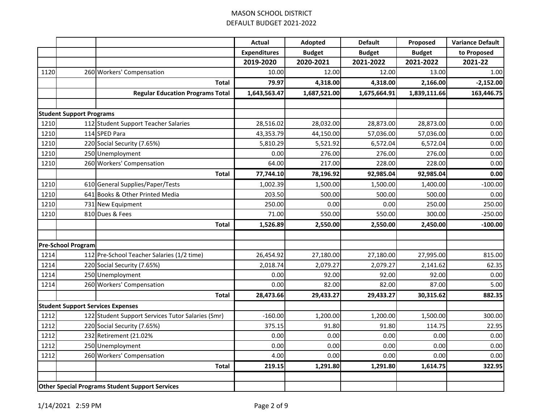|      |                                 |                                                        | <b>Actual</b>       | Adopted       | <b>Default</b> | Proposed      | <b>Variance Default</b> |
|------|---------------------------------|--------------------------------------------------------|---------------------|---------------|----------------|---------------|-------------------------|
|      |                                 |                                                        | <b>Expenditures</b> | <b>Budget</b> | <b>Budget</b>  | <b>Budget</b> | to Proposed             |
|      |                                 |                                                        | 2019-2020           | 2020-2021     | 2021-2022      | 2021-2022     | 2021-22                 |
| 1120 |                                 | 260 Workers' Compensation                              | 10.00               | 12.00         | 12.00          | 13.00         | 1.00                    |
|      |                                 | <b>Total</b>                                           | 79.97               | 4,318.00      | 4,318.00       | 2,166.00      | $-2,152.00$             |
|      |                                 | <b>Regular Education Programs Total</b>                | 1,643,563.47        | 1,687,521.00  | 1,675,664.91   | 1,839,111.66  | 163,446.75              |
|      |                                 |                                                        |                     |               |                |               |                         |
|      | <b>Student Support Programs</b> |                                                        |                     |               |                |               |                         |
| 1210 |                                 | 112 Student Support Teacher Salaries                   | 28,516.02           | 28,032.00     | 28,873.00      | 28,873.00     | 0.00                    |
| 1210 |                                 | 114 SPED Para                                          | 43,353.79           | 44,150.00     | 57,036.00      | 57,036.00     | 0.00                    |
| 1210 |                                 | 220 Social Security (7.65%)                            | 5,810.29            | 5,521.92      | 6,572.04       | 6,572.04      | 0.00                    |
| 1210 |                                 | 250 Unemployment                                       | 0.00                | 276.00        | 276.00         | 276.00        | 0.00                    |
| 1210 |                                 | 260 Workers' Compensation                              | 64.00               | 217.00        | 228.00         | 228.00        | 0.00                    |
|      |                                 | <b>Total</b>                                           | 77,744.10           | 78,196.92     | 92,985.04      | 92,985.04     | 0.00                    |
| 1210 |                                 | 610 General Supplies/Paper/Tests                       | 1,002.39            | 1,500.00      | 1,500.00       | 1,400.00      | $-100.00$               |
| 1210 |                                 | 641 Books & Other Printed Media                        | 203.50              | 500.00        | 500.00         | 500.00        | 0.00                    |
| 1210 |                                 | 731 New Equipment                                      | 250.00              | 0.00          | 0.00           | 250.00        | 250.00                  |
| 1210 |                                 | 810 Dues & Fees                                        | 71.00               | 550.00        | 550.00         | 300.00        | $-250.00$               |
|      |                                 | <b>Total</b>                                           | 1,526.89            | 2,550.00      | 2,550.00       | 2,450.00      | $-100.00$               |
|      |                                 |                                                        |                     |               |                |               |                         |
|      | <b>Pre-School Program</b>       |                                                        |                     |               |                |               |                         |
| 1214 |                                 | 112 Pre-School Teacher Salaries (1/2 time)             | 26,454.92           | 27,180.00     | 27,180.00      | 27,995.00     | 815.00                  |
| 1214 |                                 | 220 Social Security (7.65%)                            | 2,018.74            | 2,079.27      | 2,079.27       | 2,141.62      | 62.35                   |
| 1214 |                                 | 250 Unemployment                                       | 0.00                | 92.00         | 92.00          | 92.00         | 0.00                    |
| 1214 |                                 | 260 Workers' Compensation                              | 0.00                | 82.00         | 82.00          | 87.00         | 5.00                    |
|      |                                 | <b>Total</b>                                           | 28,473.66           | 29,433.27     | 29,433.27      | 30,315.62     | 882.35                  |
|      |                                 | <b>Student Support Services Expenses</b>               |                     |               |                |               |                         |
| 1212 |                                 | 122 Student Support Services Tutor Salaries (Smr)      | $-160.00$           | 1,200.00      | 1,200.00       | 1,500.00      | 300.00                  |
| 1212 |                                 | 220 Social Security (7.65%)                            | 375.15              | 91.80         | 91.80          | 114.75        | 22.95                   |
| 1212 |                                 | 232 Retirement (21.02%                                 | 0.00                | 0.00          | 0.00           | 0.00          | 0.00                    |
| 1212 |                                 | 250 Unemployment                                       | 0.00                | 0.00          | 0.00           | 0.00          | 0.00                    |
| 1212 |                                 | 260 Workers' Compensation                              | 4.00                | 0.00          | 0.00           | 0.00          | 0.00                    |
|      |                                 | <b>Total</b>                                           | 219.15              | 1,291.80      | 1,291.80       | 1,614.75      | 322.95                  |
|      |                                 |                                                        |                     |               |                |               |                         |
|      |                                 | <b>Other Special Programs Student Support Services</b> |                     |               |                |               |                         |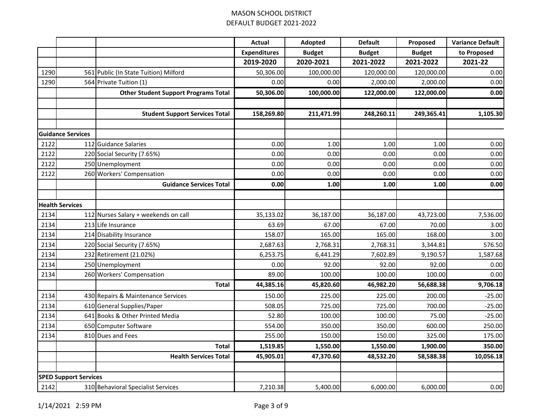|                              |                          |                                             | <b>Actual</b>       | Adopted       | <b>Default</b> | Proposed      | <b>Variance Default</b> |
|------------------------------|--------------------------|---------------------------------------------|---------------------|---------------|----------------|---------------|-------------------------|
|                              |                          |                                             | <b>Expenditures</b> | <b>Budget</b> | <b>Budget</b>  | <b>Budget</b> | to Proposed             |
|                              |                          |                                             | 2019-2020           | 2020-2021     | 2021-2022      | 2021-2022     | 2021-22                 |
| 1290                         |                          | 561 Public (In State Tuition) Milford       | 50,306.00           | 100,000.00    | 120,000.00     | 120,000.00    | 0.00                    |
| 1290                         |                          | 564 Private Tuition (1)                     | 0.00                | 0.00          | 2,000.00       | 2,000.00      | 0.00                    |
|                              |                          | <b>Other Student Support Programs Total</b> | 50,306.00           | 100,000.00    | 122,000.00     | 122,000.00    | 0.00                    |
|                              |                          |                                             |                     |               |                |               |                         |
|                              |                          | <b>Student Support Services Total</b>       | 158,269.80          | 211,471.99    | 248,260.11     | 249,365.41    | 1,105.30                |
|                              |                          |                                             |                     |               |                |               |                         |
|                              | <b>Guidance Services</b> |                                             |                     |               |                |               |                         |
| 2122                         |                          | 112 Guidance Salaries                       | 0.00                | 1.00          | 1.00           | 1.00          | 0.00                    |
| 2122                         |                          | 220 Social Security (7.65%)                 | 0.00                | 0.00          | 0.00           | 0.00          | 0.00                    |
| 2122                         |                          | 250 Unemployment                            | 0.00                | 0.00          | 0.00           | 0.00          | 0.00                    |
| 2122                         |                          | 260 Workers' Compensation                   | 0.00                | 0.00          | 0.00           | 0.00          | 0.00                    |
|                              |                          | <b>Guidance Services Total</b>              | 0.00                | 1.00          | 1.00           | 1.00          | 0.00                    |
|                              |                          |                                             |                     |               |                |               |                         |
|                              | <b>Health Services</b>   |                                             |                     |               |                |               |                         |
| 2134                         |                          | 112 Nurses Salary + weekends on call        | 35,133.02           | 36,187.00     | 36,187.00      | 43,723.00     | 7,536.00                |
| 2134                         |                          | 213 Life Insurance                          | 63.69               | 67.00         | 67.00          | 70.00         | 3.00                    |
| 2134                         |                          | 214 Disability Insurance                    | 158.07              | 165.00        | 165.00         | 168.00        | 3.00                    |
| 2134                         |                          | 220 Social Security (7.65%)                 | 2,687.63            | 2,768.31      | 2,768.31       | 3,344.81      | 576.50                  |
| 2134                         |                          | 232 Retirement (21.02%)                     | 6,253.75            | 6,441.29      | 7,602.89       | 9,190.57      | 1,587.68                |
| 2134                         |                          | 250 Unemployment                            | 0.00                | 92.00         | 92.00          | 92.00         | 0.00                    |
| 2134                         |                          | 260 Workers' Compensation                   | 89.00               | 100.00        | 100.00         | 100.00        | 0.00                    |
|                              |                          | <b>Total</b>                                | 44,385.16           | 45,820.60     | 46,982.20      | 56,688.38     | 9,706.18                |
| 2134                         |                          | 430 Repairs & Maintenance Services          | 150.00              | 225.00        | 225.00         | 200.00        | $-25.00$                |
| 2134                         |                          | 610 General Supplies/Paper                  | 508.05              | 725.00        | 725.00         | 700.00        | $-25.00$                |
| 2134                         |                          | 641 Books & Other Printed Media             | 52.80               | 100.00        | 100.00         | 75.00         | $-25.00$                |
| 2134                         |                          | 650 Computer Software                       | 554.00              | 350.00        | 350.00         | 600.00        | 250.00                  |
| 2134                         |                          | 810 Dues and Fees                           | 255.00              | 150.00        | 150.00         | 325.00        | 175.00                  |
|                              |                          | <b>Total</b>                                | 1,519.85            | 1,550.00      | 1,550.00       | 1,900.00      | 350.00                  |
|                              |                          | <b>Health Services Total</b>                | 45,905.01           | 47,370.60     | 48,532.20      | 58,588.38     | 10,056.18               |
| <b>SPED Support Services</b> |                          |                                             |                     |               |                |               |                         |
| 2142                         |                          | 310 Behavioral Specialist Services          | 7,210.38            | 5,400.00      | 6,000.00       | 6,000.00      | 0.00                    |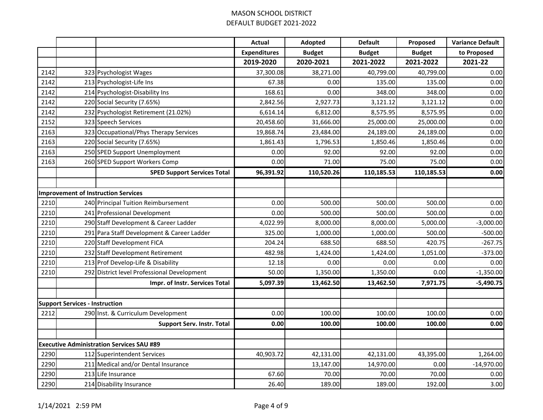| <b>Expenditures</b><br><b>Budget</b><br><b>Budget</b><br><b>Budget</b><br>2019-2020<br>2020-2021<br>2021-2022<br>2021-2022<br>2142<br>37,300.08<br>38,271.00<br>40,799.00<br>40,799.00<br>323 Psychologist Wages<br>2142<br>213 Psychologist-Life Ins<br>67.38<br>0.00<br>135.00<br>135.00<br>214 Psychologist-Disability Ins<br>168.61<br>0.00<br>348.00<br>348.00<br>2142<br>2142<br>220 Social Security (7.65%)<br>2,842.56<br>2,927.73<br>3,121.12<br>3,121.12<br>2142<br>232 Psychologist Retirement (21.02%)<br>6,812.00<br>8,575.95<br>8,575.95<br>6,614.14<br>2152<br>323 Speech Services<br>20,458.60<br>31,666.00<br>25,000.00<br>25,000.00<br>2163<br>323 Occupational/Phys Therapy Services<br>19,868.74<br>23,484.00<br>24,189.00<br>24,189.00<br>2163<br>220 Social Security (7.65%)<br>1,861.43<br>1,796.53<br>1,850.46<br>1,850.46 | <b>Variance Default</b> |
|----------------------------------------------------------------------------------------------------------------------------------------------------------------------------------------------------------------------------------------------------------------------------------------------------------------------------------------------------------------------------------------------------------------------------------------------------------------------------------------------------------------------------------------------------------------------------------------------------------------------------------------------------------------------------------------------------------------------------------------------------------------------------------------------------------------------------------------------------|-------------------------|
|                                                                                                                                                                                                                                                                                                                                                                                                                                                                                                                                                                                                                                                                                                                                                                                                                                                    | to Proposed             |
|                                                                                                                                                                                                                                                                                                                                                                                                                                                                                                                                                                                                                                                                                                                                                                                                                                                    | 2021-22                 |
|                                                                                                                                                                                                                                                                                                                                                                                                                                                                                                                                                                                                                                                                                                                                                                                                                                                    | 0.00                    |
|                                                                                                                                                                                                                                                                                                                                                                                                                                                                                                                                                                                                                                                                                                                                                                                                                                                    | 0.00                    |
|                                                                                                                                                                                                                                                                                                                                                                                                                                                                                                                                                                                                                                                                                                                                                                                                                                                    | 0.00                    |
|                                                                                                                                                                                                                                                                                                                                                                                                                                                                                                                                                                                                                                                                                                                                                                                                                                                    | 0.00                    |
|                                                                                                                                                                                                                                                                                                                                                                                                                                                                                                                                                                                                                                                                                                                                                                                                                                                    | 0.00                    |
|                                                                                                                                                                                                                                                                                                                                                                                                                                                                                                                                                                                                                                                                                                                                                                                                                                                    | 0.00                    |
|                                                                                                                                                                                                                                                                                                                                                                                                                                                                                                                                                                                                                                                                                                                                                                                                                                                    | 0.00                    |
|                                                                                                                                                                                                                                                                                                                                                                                                                                                                                                                                                                                                                                                                                                                                                                                                                                                    | 0.00                    |
| 2163<br>250 SPED Support Unemployment<br>0.00<br>92.00<br>92.00<br>92.00                                                                                                                                                                                                                                                                                                                                                                                                                                                                                                                                                                                                                                                                                                                                                                           | 0.00                    |
| 2163<br>260 SPED Support Workers Comp<br>71.00<br>75.00<br>75.00<br>0.00                                                                                                                                                                                                                                                                                                                                                                                                                                                                                                                                                                                                                                                                                                                                                                           | 0.00                    |
| 96,391.92<br>110,520.26<br>110,185.53<br>110,185.53<br><b>SPED Support Services Total</b>                                                                                                                                                                                                                                                                                                                                                                                                                                                                                                                                                                                                                                                                                                                                                          | 0.00                    |
|                                                                                                                                                                                                                                                                                                                                                                                                                                                                                                                                                                                                                                                                                                                                                                                                                                                    |                         |
| <b>Improvement of Instruction Services</b>                                                                                                                                                                                                                                                                                                                                                                                                                                                                                                                                                                                                                                                                                                                                                                                                         |                         |
| 2210<br>0.00<br>240 Principal Tuition Reimbursement<br>500.00<br>500.00<br>500.00                                                                                                                                                                                                                                                                                                                                                                                                                                                                                                                                                                                                                                                                                                                                                                  | 0.00                    |
| 2210<br>241 Professional Development<br>0.00<br>500.00<br>500.00<br>500.00                                                                                                                                                                                                                                                                                                                                                                                                                                                                                                                                                                                                                                                                                                                                                                         | 0.00                    |
| 290 Staff Development & Career Ladder<br>2210<br>4,022.99<br>8,000.00<br>8,000.00<br>5,000.00                                                                                                                                                                                                                                                                                                                                                                                                                                                                                                                                                                                                                                                                                                                                                      | $-3,000.00$             |
| 2210<br>291 Para Staff Development & Career Ladder<br>325.00<br>500.00<br>1,000.00<br>1,000.00                                                                                                                                                                                                                                                                                                                                                                                                                                                                                                                                                                                                                                                                                                                                                     | $-500.00$               |
| 2210<br>220 Staff Development FICA<br>204.24<br>688.50<br>688.50<br>420.75                                                                                                                                                                                                                                                                                                                                                                                                                                                                                                                                                                                                                                                                                                                                                                         | $-267.75$               |
| 2210<br>232 Staff Development Retirement<br>482.98<br>1,424.00<br>1,424.00<br>1,051.00                                                                                                                                                                                                                                                                                                                                                                                                                                                                                                                                                                                                                                                                                                                                                             | $-373.00$               |
| 2210<br>213 Prof Develop-Life & Disability<br>12.18<br>0.00<br>0.00<br>0.00                                                                                                                                                                                                                                                                                                                                                                                                                                                                                                                                                                                                                                                                                                                                                                        | 0.00                    |
| 50.00<br>1,350.00<br>1,350.00<br>0.00<br>2210<br>292 District level Professional Development                                                                                                                                                                                                                                                                                                                                                                                                                                                                                                                                                                                                                                                                                                                                                       | $-1,350.00$             |
| 5,097.39<br>13,462.50<br>7,971.75<br>13,462.50<br>Impr. of Instr. Services Total                                                                                                                                                                                                                                                                                                                                                                                                                                                                                                                                                                                                                                                                                                                                                                   | $-5,490.75$             |
|                                                                                                                                                                                                                                                                                                                                                                                                                                                                                                                                                                                                                                                                                                                                                                                                                                                    |                         |
| <b>Support Services - Instruction</b>                                                                                                                                                                                                                                                                                                                                                                                                                                                                                                                                                                                                                                                                                                                                                                                                              |                         |
| 2212<br>290 Inst. & Curriculum Development<br>0.00<br>100.00<br>100.00<br>100.00                                                                                                                                                                                                                                                                                                                                                                                                                                                                                                                                                                                                                                                                                                                                                                   | 0.00                    |
| <b>Support Serv. Instr. Total</b><br>0.00<br>100.00<br>100.00<br>100.00                                                                                                                                                                                                                                                                                                                                                                                                                                                                                                                                                                                                                                                                                                                                                                            | 0.00                    |
| <b>Executive Administration Services SAU #89</b>                                                                                                                                                                                                                                                                                                                                                                                                                                                                                                                                                                                                                                                                                                                                                                                                   |                         |
| 2290<br>42,131.00<br>43,395.00<br>112 Superintendent Services<br>40,903.72<br>42,131.00                                                                                                                                                                                                                                                                                                                                                                                                                                                                                                                                                                                                                                                                                                                                                            | 1,264.00                |
| 2290<br>211 Medical and/or Dental Insurance<br>13,147.00<br>0.00<br>14,970.00                                                                                                                                                                                                                                                                                                                                                                                                                                                                                                                                                                                                                                                                                                                                                                      | $-14,970.00$            |
| 2290<br>213 Life Insurance<br>67.60<br>70.00<br>70.00<br>70.00                                                                                                                                                                                                                                                                                                                                                                                                                                                                                                                                                                                                                                                                                                                                                                                     | 0.00                    |
| 2290<br>214 Disability Insurance<br>26.40<br>189.00<br>189.00<br>192.00                                                                                                                                                                                                                                                                                                                                                                                                                                                                                                                                                                                                                                                                                                                                                                            | 3.00                    |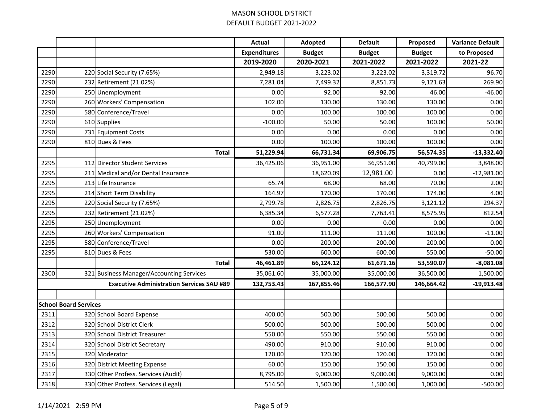|      |                              |                                                  | <b>Actual</b>       | Adopted       | <b>Default</b> | Proposed      | <b>Variance Default</b> |
|------|------------------------------|--------------------------------------------------|---------------------|---------------|----------------|---------------|-------------------------|
|      |                              |                                                  | <b>Expenditures</b> | <b>Budget</b> | <b>Budget</b>  | <b>Budget</b> | to Proposed             |
|      |                              |                                                  | 2019-2020           | 2020-2021     | 2021-2022      | 2021-2022     | 2021-22                 |
| 2290 |                              | 220 Social Security (7.65%)                      | 2,949.18            | 3,223.02      | 3,223.02       | 3,319.72      | 96.70                   |
| 2290 |                              | 232 Retirement (21.02%)                          | 7,281.04            | 7,499.32      | 8,851.73       | 9,121.63      | 269.90                  |
| 2290 |                              | 250 Unemployment                                 | 0.00                | 92.00         | 92.00          | 46.00         | $-46.00$                |
| 2290 |                              | 260 Workers' Compensation                        | 102.00              | 130.00        | 130.00         | 130.00        | 0.00                    |
| 2290 |                              | 580 Conference/Travel                            | 0.00                | 100.00        | 100.00         | 100.00        | 0.00                    |
| 2290 |                              | 610 Supplies                                     | $-100.00$           | 50.00         | 50.00          | 100.00        | 50.00                   |
| 2290 |                              | 731 Equipment Costs                              | 0.00                | 0.00          | 0.00           | 0.00          | 0.00                    |
| 2290 |                              | 810 Dues & Fees                                  | 0.00                | 100.00        | 100.00         | 100.00        | 0.00                    |
|      |                              | <b>Total</b>                                     | 51,229.94           | 66,731.34     | 69,906.75      | 56,574.35     | $-13,332.40$            |
| 2295 |                              | 112 Director Student Services                    | 36,425.06           | 36,951.00     | 36,951.00      | 40,799.00     | 3,848.00                |
| 2295 |                              | 211 Medical and/or Dental Insurance              |                     | 18,620.09     | 12,981.00      | 0.00          | $-12,981.00$            |
| 2295 |                              | 213 Life Insurance                               | 65.74               | 68.00         | 68.00          | 70.00         | 2.00                    |
| 2295 |                              | 214 Short Term Disability                        | 164.97              | 170.00        | 170.00         | 174.00        | 4.00                    |
| 2295 |                              | 220 Social Security (7.65%)                      | 2,799.78            | 2,826.75      | 2,826.75       | 3,121.12      | 294.37                  |
| 2295 |                              | 232 Retirement (21.02%)                          | 6,385.34            | 6,577.28      | 7,763.41       | 8,575.95      | 812.54                  |
| 2295 |                              | 250 Unemployment                                 | 0.00                | 0.00          | 0.00           | 0.00          | 0.00                    |
| 2295 |                              | 260 Workers' Compensation                        | 91.00               | 111.00        | 111.00         | 100.00        | $-11.00$                |
| 2295 |                              | 580 Conference/Travel                            | 0.00                | 200.00        | 200.00         | 200.00        | 0.00                    |
| 2295 |                              | 810 Dues & Fees                                  | 530.00              | 600.00        | 600.00         | 550.00        | $-50.00$                |
|      |                              | <b>Total</b>                                     | 46,461.89           | 66,124.12     | 61,671.16      | 53,590.07     | $-8,081.08$             |
| 2300 |                              | 321 Business Manager/Accounting Services         | 35,061.60           | 35,000.00     | 35,000.00      | 36,500.00     | 1,500.00                |
|      |                              | <b>Executive Administration Services SAU #89</b> | 132,753.43          | 167,855.46    | 166,577.90     | 146,664.42    | $-19,913.48$            |
|      |                              |                                                  |                     |               |                |               |                         |
|      | <b>School Board Services</b> |                                                  |                     |               |                |               |                         |
| 2311 |                              | 320 School Board Expense                         | 400.00              | 500.00        | 500.00         | 500.00        | 0.00                    |
| 2312 |                              | 320 School District Clerk                        | 500.00              | 500.00        | 500.00         | 500.00        | 0.00                    |
| 2313 |                              | 320 School District Treasurer                    | 550.00              | 550.00        | 550.00         | 550.00        | 0.00                    |
| 2314 |                              | 320 School District Secretary                    | 490.00              | 910.00        | 910.00         | 910.00        | 0.00                    |
| 2315 |                              | 320 Moderator                                    | 120.00              | 120.00        | 120.00         | 120.00        | 0.00                    |
| 2316 |                              | 320 District Meeting Expense                     | 60.00               | 150.00        | 150.00         | 150.00        | 0.00                    |
| 2317 |                              | 330 Other Profess. Services (Audit)              | 8,795.00            | 9,000.00      | 9,000.00       | 9,000.00      | 0.00                    |
| 2318 |                              | 330 Other Profess. Services (Legal)              | 514.50              | 1,500.00      | 1,500.00       | 1,000.00      | $-500.00$               |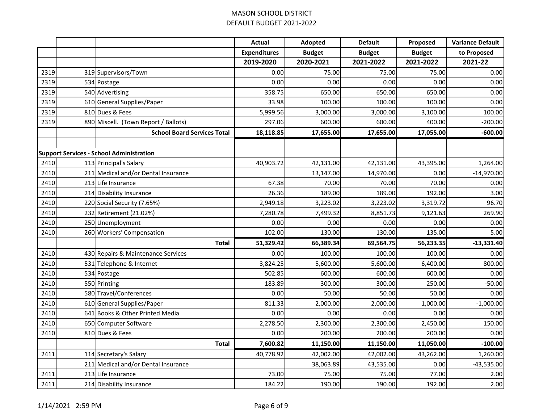|      |                                                 | <b>Actual</b>       | Adopted       | <b>Default</b> | Proposed      | <b>Variance Default</b> |
|------|-------------------------------------------------|---------------------|---------------|----------------|---------------|-------------------------|
|      |                                                 | <b>Expenditures</b> | <b>Budget</b> | <b>Budget</b>  | <b>Budget</b> | to Proposed             |
|      |                                                 | 2019-2020           | 2020-2021     | 2021-2022      | 2021-2022     | 2021-22                 |
| 2319 | 319 Supervisors/Town                            | 0.00                | 75.00         | 75.00          | 75.00         | 0.00                    |
| 2319 | 534 Postage                                     | 0.00                | 0.00          | 0.00           | 0.00          | 0.00                    |
| 2319 | 540 Advertising                                 | 358.75              | 650.00        | 650.00         | 650.00        | 0.00                    |
| 2319 | 610 General Supplies/Paper                      | 33.98               | 100.00        | 100.00         | 100.00        | 0.00                    |
| 2319 | 810 Dues & Fees                                 | 5,999.56            | 3,000.00      | 3,000.00       | 3,100.00      | 100.00                  |
| 2319 | 890 Miscell. (Town Report / Ballots)            | 297.06              | 600.00        | 600.00         | 400.00        | $-200.00$               |
|      | <b>School Board Services Total</b>              | 18,118.85           | 17,655.00     | 17,655.00      | 17,055.00     | $-600.00$               |
|      | <b>Support Services - School Administration</b> |                     |               |                |               |                         |
| 2410 | 113 Principal's Salary                          | 40,903.72           | 42,131.00     | 42,131.00      | 43,395.00     | 1,264.00                |
| 2410 | 211 Medical and/or Dental Insurance             |                     | 13,147.00     | 14,970.00      | 0.00          | $-14,970.00$            |
| 2410 | 213 Life Insurance                              | 67.38               | 70.00         | 70.00          | 70.00         | 0.00                    |
| 2410 | 214 Disability Insurance                        | 26.36               | 189.00        | 189.00         | 192.00        | 3.00                    |
| 2410 | 220 Social Security (7.65%)                     | 2,949.18            | 3,223.02      | 3,223.02       | 3,319.72      | 96.70                   |
| 2410 | 232 Retirement (21.02%)                         | 7,280.78            | 7,499.32      | 8,851.73       | 9,121.63      | 269.90                  |
| 2410 | 250 Unemployment                                | 0.00                | 0.00          | 0.00           | 0.00          | 0.00                    |
| 2410 | 260 Workers' Compensation                       | 102.00              | 130.00        | 130.00         | 135.00        | 5.00                    |
|      | <b>Total</b>                                    | 51,329.42           | 66,389.34     | 69,564.75      | 56,233.35     | $-13,331.40$            |
| 2410 | 430 Repairs & Maintenance Services              | 0.00                | 100.00        | 100.00         | 100.00        | 0.00                    |
| 2410 | 531 Telephone & Internet                        | 3,824.25            | 5,600.00      | 5,600.00       | 6,400.00      | 800.00                  |
| 2410 | 534 Postage                                     | 502.85              | 600.00        | 600.00         | 600.00        | 0.00                    |
| 2410 | 550 Printing                                    | 183.89              | 300.00        | 300.00         | 250.00        | $-50.00$                |
| 2410 | 580 Travel/Conferences                          | 0.00                | 50.00         | 50.00          | 50.00         | 0.00                    |
| 2410 | 610 General Supplies/Paper                      | 811.33              | 2,000.00      | 2,000.00       | 1,000.00      | $-1,000.00$             |
| 2410 | 641 Books & Other Printed Media                 | 0.00                | 0.00          | 0.00           | 0.00          | 0.00                    |
| 2410 | 650 Computer Software                           | 2,278.50            | 2,300.00      | 2,300.00       | 2,450.00      | 150.00                  |
| 2410 | 810 Dues & Fees                                 | 0.00                | 200.00        | 200.00         | 200.00        | 0.00                    |
|      | <b>Total</b>                                    | 7,600.82            | 11,150.00     | 11,150.00      | 11,050.00     | $-100.00$               |
| 2411 | 114 Secretary's Salary                          | 40,778.92           | 42,002.00     | 42,002.00      | 43,262.00     | 1,260.00                |
|      | 211 Medical and/or Dental Insurance             |                     | 38,063.89     | 43,535.00      | 0.00          | $-43,535.00$            |
| 2411 | 213 Life Insurance                              | 73.00               | 75.00         | 75.00          | 77.00         | 2.00                    |
| 2411 | 214 Disability Insurance                        | 184.22              | 190.00        | 190.00         | 192.00        | 2.00                    |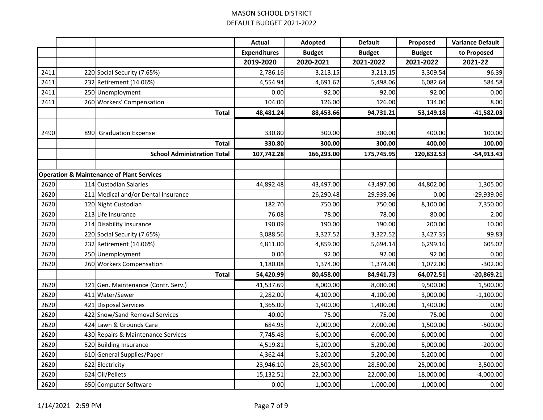|      |     |                                                      | <b>Actual</b>       | Adopted       | <b>Default</b> | Proposed      | <b>Variance Default</b> |
|------|-----|------------------------------------------------------|---------------------|---------------|----------------|---------------|-------------------------|
|      |     |                                                      | <b>Expenditures</b> | <b>Budget</b> | <b>Budget</b>  | <b>Budget</b> | to Proposed             |
|      |     |                                                      | 2019-2020           | 2020-2021     | 2021-2022      | 2021-2022     | 2021-22                 |
| 2411 |     | 220 Social Security (7.65%)                          | 2,786.16            | 3,213.15      | 3,213.15       | 3,309.54      | 96.39                   |
| 2411 |     | 232 Retirement (14.06%)                              | 4,554.94            | 4,691.62      | 5,498.06       | 6,082.64      | 584.58                  |
| 2411 |     | 250 Unemployment                                     | 0.00                | 92.00         | 92.00          | 92.00         | 0.00                    |
| 2411 |     | 260 Workers' Compensation                            | 104.00              | 126.00        | 126.00         | 134.00        | 8.00                    |
|      |     | <b>Total</b>                                         | 48,481.24           | 88,453.66     | 94,731.21      | 53,149.18     | $-41,582.03$            |
|      |     |                                                      |                     |               |                |               |                         |
| 2490 | 890 | <b>Graduation Expense</b>                            | 330.80              | 300.00        | 300.00         | 400.00        | 100.00                  |
|      |     | <b>Total</b>                                         | 330.80              | 300.00        | 300.00         | 400.00        | 100.00                  |
|      |     | <b>School Administration Total</b>                   | 107,742.28          | 166,293.00    | 175,745.95     | 120,832.53    | $-54,913.43$            |
|      |     |                                                      |                     |               |                |               |                         |
|      |     | <b>Operation &amp; Maintenance of Plant Services</b> |                     |               |                |               |                         |
| 2620 |     | 114 Custodian Salaries                               | 44,892.48           | 43,497.00     | 43,497.00      | 44,802.00     | 1,305.00                |
| 2620 |     | 211 Medical and/or Dental Insurance                  |                     | 26,290.48     | 29,939.06      | 0.00          | -29,939.06              |
| 2620 |     | 120 Night Custodian                                  | 182.70              | 750.00        | 750.00         | 8,100.00      | 7,350.00                |
| 2620 |     | 213 Life Insurance                                   | 76.08               | 78.00         | 78.00          | 80.00         | 2.00                    |
| 2620 |     | 214 Disability Insurance                             | 190.09              | 190.00        | 190.00         | 200.00        | 10.00                   |
| 2620 |     | 220 Social Security (7.65%)                          | 3,088.56            | 3,327.52      | 3,327.52       | 3,427.35      | 99.83                   |
| 2620 |     | 232 Retirement (14.06%)                              | 4,811.00            | 4,859.00      | 5,694.14       | 6,299.16      | 605.02                  |
| 2620 |     | 250 Unemployment                                     | 0.00                | 92.00         | 92.00          | 92.00         | 0.00                    |
| 2620 |     | 260 Workers Compensation                             | 1,180.08            | 1,374.00      | 1,374.00       | 1,072.00      | $-302.00$               |
|      |     | <b>Total</b>                                         | 54,420.99           | 80,458.00     | 84,941.73      | 64,072.51     | $-20,869.21$            |
| 2620 | 321 | Gen. Maintenance (Contr. Serv.)                      | 41,537.69           | 8,000.00      | 8,000.00       | 9,500.00      | 1,500.00                |
| 2620 |     | 411 Water/Sewer                                      | 2,282.00            | 4,100.00      | 4,100.00       | 3,000.00      | $-1,100.00$             |
| 2620 |     | 421 Disposal Services                                | 1,365.00            | 1,400.00      | 1,400.00       | 1,400.00      | 0.00                    |
| 2620 |     | 422 Snow/Sand Removal Services                       | 40.00               | 75.00         | 75.00          | 75.00         | 0.00                    |
| 2620 |     | 424 Lawn & Grounds Care                              | 684.95              | 2,000.00      | 2,000.00       | 1,500.00      | $-500.00$               |
| 2620 |     | 430 Repairs & Maintenance Services                   | 7,745.48            | 6,000.00      | 6,000.00       | 6,000.00      | 0.00                    |
| 2620 |     | 520 Building Insurance                               | 4,519.81            | 5,200.00      | 5,200.00       | 5,000.00      | $-200.00$               |
| 2620 |     | 610 General Supplies/Paper                           | 4,362.44            | 5,200.00      | 5,200.00       | 5,200.00      | 0.00                    |
| 2620 |     | 622 Electricity                                      | 23,946.10           | 28,500.00     | 28,500.00      | 25,000.00     | $-3,500.00$             |
| 2620 |     | 624 Oil/Pellets                                      | 15,132.51           | 22,000.00     | 22,000.00      | 18,000.00     | $-4,000.00$             |
| 2620 |     | 650 Computer Software                                | 0.00                | 1,000.00      | 1,000.00       | 1,000.00      | 0.00                    |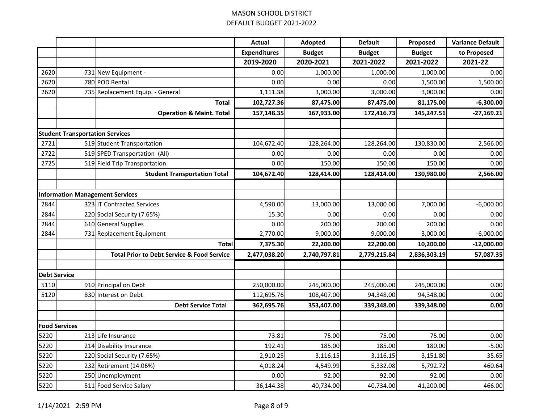|      |                                        |                                                       | <b>Actual</b>       | Adopted       | <b>Default</b> | Proposed      | <b>Variance Default</b> |
|------|----------------------------------------|-------------------------------------------------------|---------------------|---------------|----------------|---------------|-------------------------|
|      |                                        |                                                       | <b>Expenditures</b> | <b>Budget</b> | <b>Budget</b>  | <b>Budget</b> | to Proposed             |
|      |                                        |                                                       | 2019-2020           | 2020-2021     | 2021-2022      | 2021-2022     | 2021-22                 |
| 2620 |                                        | 731 New Equipment -                                   | 0.00                | 1,000.00      | 1,000.00       | 1,000.00      | 0.00                    |
| 2620 |                                        | 780 POD Rental                                        | 0.00                | 0.00          | 0.00           | 1,500.00      | 1,500.00                |
| 2620 |                                        | 735 Replacement Equip. - General                      | 1,111.38            | 3,000.00      | 3,000.00       | 3,000.00      | 0.00                    |
|      |                                        | <b>Total</b>                                          | 102,727.36          | 87,475.00     | 87,475.00      | 81,175.00     | $-6,300.00$             |
|      |                                        | <b>Operation &amp; Maint. Total</b>                   | 157,148.35          | 167,933.00    | 172,416.73     | 145,247.51    | $-27,169.21$            |
|      |                                        |                                                       |                     |               |                |               |                         |
|      | <b>Student Transportation Services</b> |                                                       |                     |               |                |               |                         |
| 2721 |                                        | 519 Student Transportation                            | 104,672.40          | 128,264.00    | 128,264.00     | 130,830.00    | 2,566.00                |
| 2722 |                                        | 519 SPED Transportation (All)                         | 0.00                | 0.00          | 0.00           | 0.00          | 0.00                    |
| 2725 |                                        | 519 Field Trip Transportation                         | 0.00                | 150.00        | 150.00         | 150.00        | 0.00                    |
|      |                                        | <b>Student Transportation Total</b>                   | 104,672.40          | 128,414.00    | 128,414.00     | 130,980.00    | 2,566.00                |
|      |                                        |                                                       |                     |               |                |               |                         |
|      |                                        | <b>Information Management Services</b>                |                     |               |                |               |                         |
| 2844 |                                        | 323 IT Contracted Services                            | 4,590.00            | 13,000.00     | 13,000.00      | 7,000.00      | $-6,000.00$             |
| 2844 |                                        | 220 Social Security (7.65%)                           | 15.30               | 0.00          | 0.00           | 0.00          | 0.00                    |
| 2844 |                                        | 610 General Supplies                                  | 0.00                | 200.00        | 200.00         | 200.00        | 0.00                    |
| 2844 |                                        | 731 Replacement Equipment                             | 2,770.00            | 9,000.00      | 9,000.00       | 3,000.00      | $-6,000.00$             |
|      |                                        | <b>Total</b>                                          | 7,375.30            | 22,200.00     | 22,200.00      | 10,200.00     | $-12,000.00$            |
|      |                                        | <b>Total Prior to Debt Service &amp; Food Service</b> | 2,477,038.20        | 2,740,797.81  | 2,779,215.84   | 2,836,303.19  | 57,087.35               |
|      |                                        |                                                       |                     |               |                |               |                         |
|      | <b>Debt Service</b>                    |                                                       |                     |               |                |               |                         |
| 5110 |                                        | 910 Principal on Debt                                 | 250,000.00          | 245,000.00    | 245,000.00     | 245,000.00    | 0.00                    |
| 5120 |                                        | 830 Interest on Debt                                  | 112,695.76          | 108,407.00    | 94,348.00      | 94,348.00     | 0.00                    |
|      |                                        | <b>Debt Service Total</b>                             | 362,695.76          | 353,407.00    | 339,348.00     | 339,348.00    | 0.00                    |
|      |                                        |                                                       |                     |               |                |               |                         |
|      | <b>Food Services</b>                   |                                                       |                     |               |                |               |                         |
| 5220 |                                        | 213 Life Insurance                                    | 73.81               | 75.00         | 75.00          | 75.00         | 0.00                    |
| 5220 |                                        | 214 Disability Insurance                              | 192.41              | 185.00        | 185.00         | 180.00        | $-5.00$                 |
| 5220 |                                        | 220 Social Security (7.65%)                           | 2,910.25            | 3,116.15      | 3,116.15       | 3,151.80      | 35.65                   |
| 5220 |                                        | 232 Retirement (14.06%)                               | 4,018.24            | 4,549.99      | 5,332.08       | 5,792.72      | 460.64                  |
| 5220 |                                        | 250 Unemployment                                      | 0.00                | 92.00         | 92.00          | 92.00         | 0.00                    |
| 5220 |                                        | 511 Food Service Salary                               | 36,144.38           | 40,734.00     | 40,734.00      | 41,200.00     | 466.00                  |